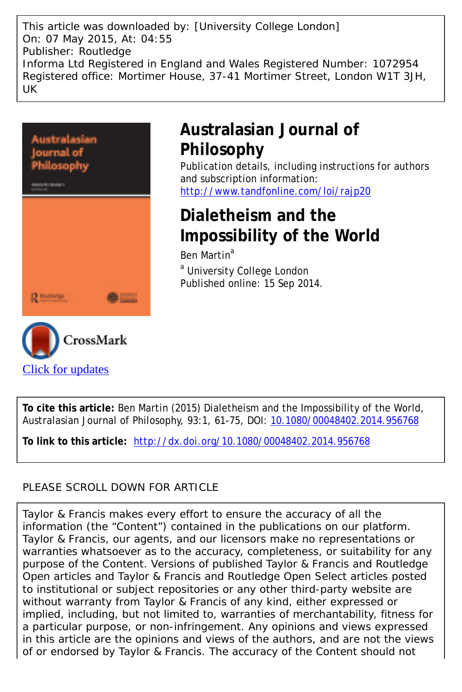This article was downloaded by: [University College London] On: 07 May 2015, At: 04:55 Publisher: Routledge Informa Ltd Registered in England and Wales Registered Number: 1072954 Registered office: Mortimer House, 37-41 Mortimer Street, London W1T 3JH, UK



# **Australasian Journal of Philosophy**

Publication details, including instructions for authors and subscription information: <http://www.tandfonline.com/loi/rajp20>

# **Dialetheism and the Impossibility of the World**

Ben Martin<sup>a</sup> <sup>a</sup> University College London Published online: 15 Sep 2014.



**To cite this article:** Ben Martin (2015) Dialetheism and the Impossibility of the World, Australasian Journal of Philosophy, 93:1, 61-75, DOI: [10.1080/00048402.2014.956768](http://www.tandfonline.com/action/showCitFormats?doi=10.1080/00048402.2014.956768)

**To link to this article:** <http://dx.doi.org/10.1080/00048402.2014.956768>

# PLEASE SCROLL DOWN FOR ARTICLE

Taylor & Francis makes every effort to ensure the accuracy of all the information (the "Content") contained in the publications on our platform. Taylor & Francis, our agents, and our licensors make no representations or warranties whatsoever as to the accuracy, completeness, or suitability for any purpose of the Content. Versions of published Taylor & Francis and Routledge Open articles and Taylor & Francis and Routledge Open Select articles posted to institutional or subject repositories or any other third-party website are without warranty from Taylor & Francis of any kind, either expressed or implied, including, but not limited to, warranties of merchantability, fitness for a particular purpose, or non-infringement. Any opinions and views expressed in this article are the opinions and views of the authors, and are not the views of or endorsed by Taylor & Francis. The accuracy of the Content should not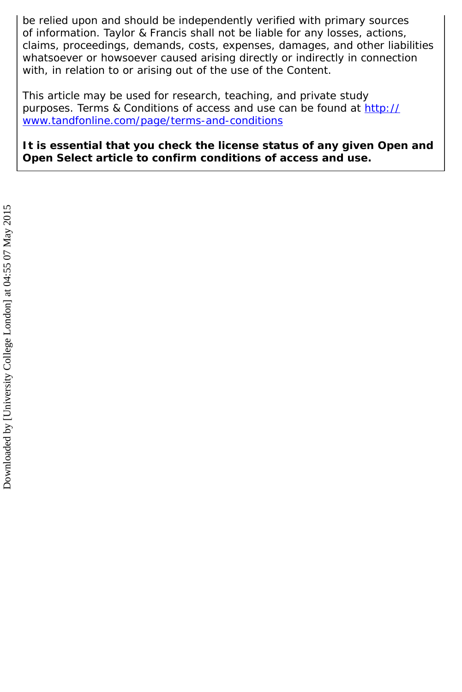be relied upon and should be independently verified with primary sources of information. Taylor & Francis shall not be liable for any losses, actions, claims, proceedings, demands, costs, expenses, damages, and other liabilities whatsoever or howsoever caused arising directly or indirectly in connection with, in relation to or arising out of the use of the Content.

This article may be used for research, teaching, and private study purposes. Terms & Conditions of access and use can be found at [http://](http://www.tandfonline.com/page/terms-and-conditions) [www.tandfonline.com/page/terms-and-conditions](http://www.tandfonline.com/page/terms-and-conditions)

**It is essential that you check the license status of any given Open and Open Select article to confirm conditions of access and use.**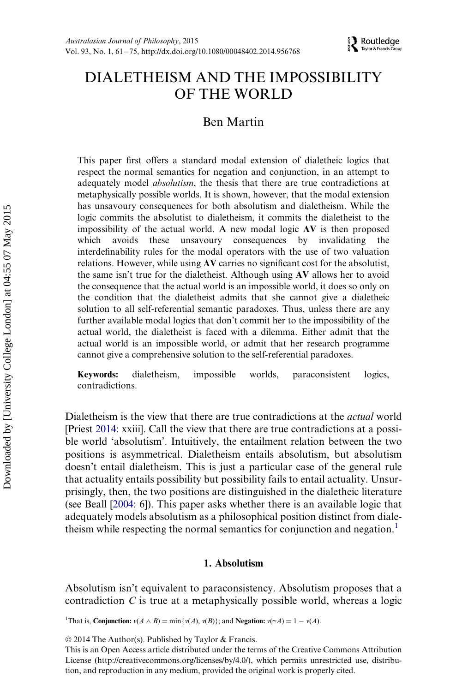# DIALETHEISM AND THE IMPOSSIBILITY OF THE WORLD

# Ben Martin

This paper first offers a standard modal extension of dialetheic logics that respect the normal semantics for negation and conjunction, in an attempt to adequately model *absolutism*, the thesis that there are true contradictions at metaphysically possible worlds. It is shown, however, that the modal extension has unsavoury consequences for both absolutism and dialetheism. While the logic commits the absolutist to dialetheism, it commits the dialetheist to the impossibility of the actual world. A new modal logic AV is then proposed which avoids these unsavoury consequences by invalidating the interdefinability rules for the modal operators with the use of two valuation relations. However, while using AV carries no significant cost for the absolutist, the same isn't true for the dialetheist. Although using AV allows her to avoid the consequence that the actual world is an impossible world, it does so only on the condition that the dialetheist admits that she cannot give a dialetheic solution to all self-referential semantic paradoxes. Thus, unless there are any further available modal logics that don't commit her to the impossibility of the actual world, the dialetheist is faced with a dilemma. Either admit that the actual world is an impossible world, or admit that her research programme cannot give a comprehensive solution to the self-referential paradoxes.

Keywords: dialetheism, impossible worlds, paraconsistent logics, contradictions.

Dialetheism is the view that there are true contradictions at the actual world [Priest [2014](#page-16-0): xxiii]. Call the view that there are true contradictions at a possible world 'absolutism'. Intuitively, the entailment relation between the two positions is asymmetrical. Dialetheism entails absolutism, but absolutism doesn't entail dialetheism. This is just a particular case of the general rule that actuality entails possibility but possibility fails to entail actuality. Unsurprisingly, then, the two positions are distinguished in the dialetheic literature (see Beall [\[2004:](#page-16-1) 6]). This paper asks whether there is an available logic that adequately models absolutism as a philosophical position distinct from diale-theism while respecting the normal semantics for conjunction and negation.<sup>[1](#page-2-0)</sup>

## 1. Absolutism

Absolutism isn't equivalent to paraconsistency. Absolutism proposes that a contradiction C is true at a metaphysically possible world, whereas a logic

<span id="page-2-0"></span><sup>1</sup>That is, **Conjunction:**  $v(A \wedge B) = \min\{v(A), v(B)\}$ ; and **Negation:**  $v(\sim A) = 1 - v(A)$ .

2014 The Author(s). Published by Taylor & Francis.

This is an Open Access article distributed under the terms of the Creative Commons Attribution License [\(http://creativecommons.org/licenses/by/4.0/\)](http://creativecommons.org/licenses/by/4.0/), which permits unrestricted use, distribution, and reproduction in any medium, provided the original work is properly cited.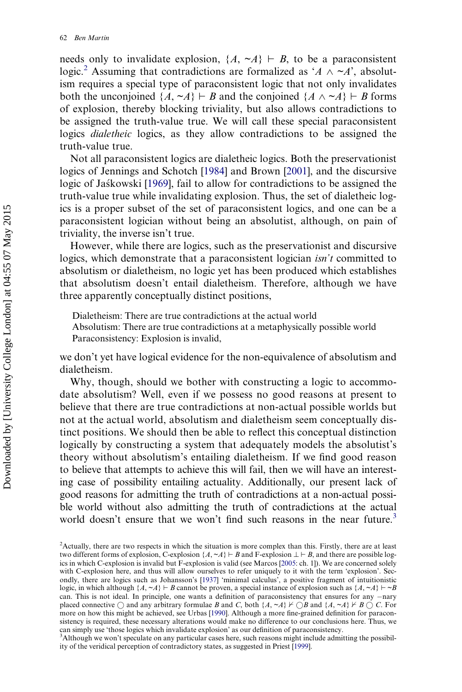needs only to invalidate explosion,  $\{A, \neg A\} \vdash B$ , to be a paraconsistent logic.<sup>2</sup> Assuming that contradictions are formalized as ' $A \wedge \neg A$ ', absolutism requires a special type of paraconsistent logic that not only invalidates both the unconjoined  $\{A, \sim A\} \vdash B$  and the conjoined  $\{A \land \sim A\} \vdash B$  forms of explosion, thereby blocking triviality, but also allows contradictions to be assigned the truth-value true. We will call these special paraconsistent logics dialetheic logics, as they allow contradictions to be assigned the truth-value true.

Not all paraconsistent logics are dialetheic logics. Both the preservationist logics of Jennings and Schotch [\[1984](#page-16-2)] and Brown [\[2001](#page-16-3)], and the discursive logic of Jaskowski [\[1969](#page-16-4)], fail to allow for contradictions to be assigned the truth-value true while invalidating explosion. Thus, the set of dialetheic logics is a proper subset of the set of paraconsistent logics, and one can be a paraconsistent logician without being an absolutist, although, on pain of triviality, the inverse isn't true.

However, while there are logics, such as the preservationist and discursive logics, which demonstrate that a paraconsistent logician isn't committed to absolutism or dialetheism, no logic yet has been produced which establishes that absolutism doesn't entail dialetheism. Therefore, although we have three apparently conceptually distinct positions,

Dialetheism: There are true contradictions at the actual world Absolutism: There are true contradictions at a metaphysically possible world Paraconsistency: Explosion is invalid,

we don't yet have logical evidence for the non-equivalence of absolutism and dialetheism.

Why, though, should we bother with constructing a logic to accommodate absolutism? Well, even if we possess no good reasons at present to believe that there are true contradictions at non-actual possible worlds but not at the actual world, absolutism and dialetheism seem conceptually distinct positions. We should then be able to reflect this conceptual distinction logically by constructing a system that adequately models the absolutist's theory without absolutism's entailing dialetheism. If we find good reason to believe that attempts to achieve this will fail, then we will have an interesting case of possibility entailing actuality. Additionally, our present lack of good reasons for admitting the truth of contradictions at a non-actual possible world without also admitting the truth of contradictions at the actual world doesn't ensure that we won't find such reasons in the near future.<sup>3</sup>

<span id="page-3-0"></span><sup>&</sup>lt;sup>2</sup>Actually, there are two respects in which the situation is more complex than this. Firstly, there are at least two different forms of explosion, C-explosion  $\{A, \neg A\} \vdash B$  and F-explosion  $\bot \vdash B$ , and there are possible logics in which C-explosion is invalid but F-explosion is valid (see Marcos [\[2005](#page-16-5): ch. 1]). We are concerned solely with C-explosion here, and thus will allow ourselves to refer uniquely to it with the term 'explosion'. Secondly, there are logics such as Johansson's [[1937\]](#page-16-6) 'minimal calculus', a positive fragment of intuitionistic logic, in which although  $\{A, \sim A\} \vdash B$  cannot be proven, a special instance of explosion such as  $\{A, \sim A\} \vdash \sim B$ can. This is not ideal. In principle, one wants a definition of paraconsistency that ensures for any -nary placed connective  $\bigcirc$  and any arbitrary formulae B and C, both {A, ~A}  $\nvdash \bigcirc B$  and {A, ~A}  $\nvdash B \bigcirc C$ . For more on how this might be achieved, see Urbas [\[1990](#page-16-7)]. Although a more fine-grained definition for paraconsistency is required, these necessary alterations would make no difference to our conclusions here. Thus, we can simply use 'those logics which invalidate explosion' as our definition of paraconsistency.

<span id="page-3-1"></span><sup>3</sup> Although we won't speculate on any particular cases here, such reasons might include admitting the possibility of the veridical perception of contradictory states, as suggested in Priest [[1999\]](#page-16-8).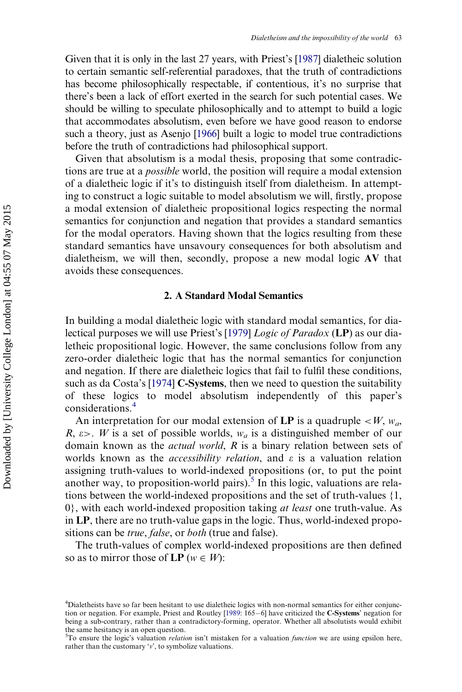Given that it is only in the last 27 years, with Priest's [\[1987](#page-16-9)] dialetheic solution to certain semantic self-referential paradoxes, that the truth of contradictions has become philosophically respectable, if contentious, it's no surprise that there's been a lack of effort exerted in the search for such potential cases. We should be willing to speculate philosophically and to attempt to build a logic that accommodates absolutism, even before we have good reason to endorse such a theory, just as Asenjo [\[1966\]](#page-16-10) built a logic to model true contradictions before the truth of contradictions had philosophical support.

Given that absolutism is a modal thesis, proposing that some contradictions are true at a possible world, the position will require a modal extension of a dialetheic logic if it's to distinguish itself from dialetheism. In attempting to construct a logic suitable to model absolutism we will, firstly, propose a modal extension of dialetheic propositional logics respecting the normal semantics for conjunction and negation that provides a standard semantics for the modal operators. Having shown that the logics resulting from these standard semantics have unsavoury consequences for both absolutism and dialetheism, we will then, secondly, propose a new modal logic AV that avoids these consequences.

# 2. A Standard Modal Semantics

In building a modal dialetheic logic with standard modal semantics, for dia-lectical purposes we will use Priest's [[1979\]](#page-16-11) Logic of Paradox (LP) as our dialetheic propositional logic. However, the same conclusions follow from any zero-order dialetheic logic that has the normal semantics for conjunction and negation. If there are dialetheic logics that fail to fulfil these conditions, such as da Costa's [[1974\]](#page-16-12) C-Systems, then we need to question the suitability of these logics to model absolutism independently of this paper's considerations.[4](#page-4-0)

An interpretation for our modal extension of LP is a quadruple  $\langle W, w_a, \rangle$ R,  $\varepsilon$ >. W is a set of possible worlds,  $w_a$  is a distinguished member of our domain known as the actual world, R is a binary relation between sets of worlds known as the *accessibility relation*, and  $\varepsilon$  is a valuation relation assigning truth-values to world-indexed propositions (or, to put the point another way, to proposition-world pairs).<sup>[5](#page-4-1)</sup> In this logic, valuations are relations between the world-indexed propositions and the set of truth-values {1,  $0$ , with each world-indexed proposition taking *at least* one truth-value. As in LP, there are no truth-value gaps in the logic. Thus, world-indexed propositions can be *true*, *false*, or *both* (true and false).

The truth-values of complex world-indexed propositions are then defined so as to mirror those of LP ( $w \in W$ ):

<span id="page-4-0"></span><sup>4</sup> Dialetheists have so far been hesitant to use dialetheic logics with non-normal semantics for either conjunc-tion or negation. For example, Priest and Routley [\[1989](#page-16-13): 165-6] have criticized the C-Systems' negation for being a sub-contrary, rather than a contradictory-forming, operator. Whether all absolutists would exhibit the same hesitancy is an open question.

<span id="page-4-1"></span> ${}^{5}$ To ensure the logic's valuation *relation* isn't mistaken for a valuation *function* we are using epsilon here, rather than the customary 'v', to symbolize valuations.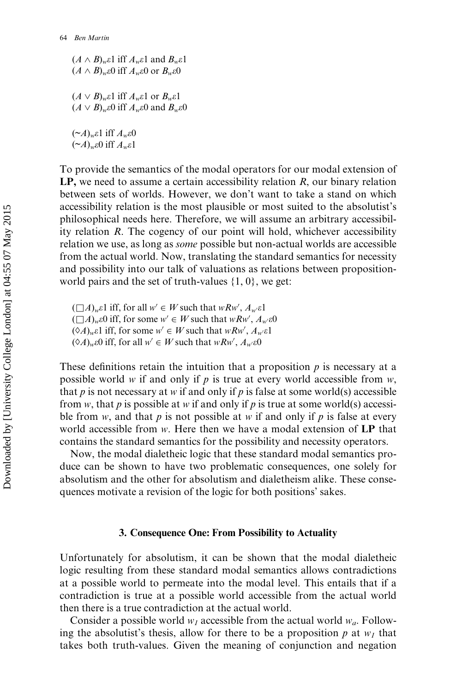$(A \wedge B)_{w} \varepsilon 1$  iff  $A_{w} \varepsilon 1$  and  $B_{w} \varepsilon 1$  $(A \wedge B)_w \in 0$  iff  $A_w \in 0$  or  $B_w \in 0$  $(A \vee B)_{w} \in$ 1 iff  $A_{w} \in$ 1 or  $B_{w} \in$ 1  $(A \vee B)_w \in 0$  iff  $A_w \in 0$  and  $B_w \in 0$  $(\sim A)_{w} \varepsilon 1$  iff  $A_{w} \varepsilon 0$  $(\sim A)_{w} \epsilon 0$  iff  $A_{w} \epsilon 1$ 

To provide the semantics of the modal operators for our modal extension of  $LP$ , we need to assume a certain accessibility relation  $R$ , our binary relation between sets of worlds. However, we don't want to take a stand on which accessibility relation is the most plausible or most suited to the absolutist's philosophical needs here. Therefore, we will assume an arbitrary accessibility relation R. The cogency of our point will hold, whichever accessibility relation we use, as long as some possible but non-actual worlds are accessible from the actual world. Now, translating the standard semantics for necessity and possibility into our talk of valuations as relations between propositionworld pairs and the set of truth-values  $\{1, 0\}$ , we get:

 $(\Box A)_w \in I$  iff, for all  $w' \in W$  such that  $wRw'$ ,  $A_w \in I$  $(\Box A)_w \in \mathcal{W}$  iff, for some  $w' \in \mathcal{W}$  such that  $wRw'$ ,  $A_w \in \mathcal{W}$  $(\diamond A)_{w} \epsilon 1$  iff, for some  $w' \in W$  such that  $wRw'$ ,  $A_{w'}\epsilon 1$  $(\Diamond A)_{w} \in \mathcal{W}$  such that  $wRw', A_{w'} \in \mathcal{W}$ 

These definitions retain the intuition that a proposition  $p$  is necessary at a possible world w if and only if p is true at every world accessible from w, that p is not necessary at w if and only if p is false at some world(s) accessible from w, that p is possible at w if and only if p is true at some world(s) accessible from w, and that p is not possible at w if and only if p is false at every world accessible from  $w$ . Here then we have a modal extension of **LP** that contains the standard semantics for the possibility and necessity operators.

Now, the modal dialetheic logic that these standard modal semantics produce can be shown to have two problematic consequences, one solely for absolutism and the other for absolutism and dialetheism alike. These consequences motivate a revision of the logic for both positions' sakes.

#### 3. Consequence One: From Possibility to Actuality

Unfortunately for absolutism, it can be shown that the modal dialetheic logic resulting from these standard modal semantics allows contradictions at a possible world to permeate into the modal level. This entails that if a contradiction is true at a possible world accessible from the actual world then there is a true contradiction at the actual world.

Consider a possible world  $w_1$  accessible from the actual world  $w_a$ . Following the absolutist's thesis, allow for there to be a proposition p at  $w_1$  that takes both truth-values. Given the meaning of conjunction and negation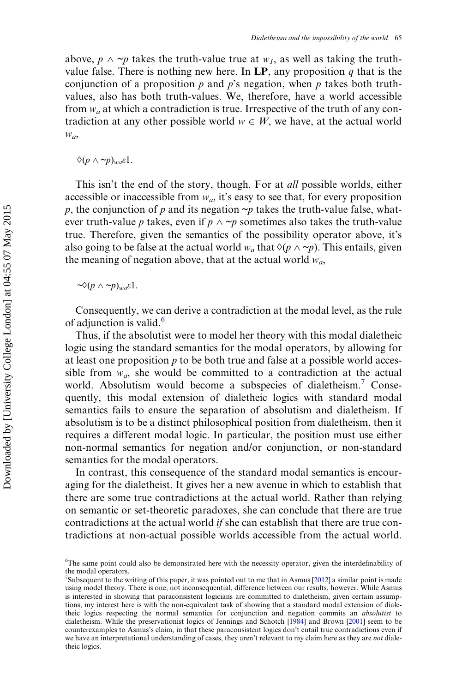above,  $p \wedge \neg p$  takes the truth-value true at  $w_i$ , as well as taking the truthvalue false. There is nothing new here. In  $LP$ , any proposition q that is the conjunction of a proposition  $p$  and  $p$ 's negation, when  $p$  takes both truthvalues, also has both truth-values. We, therefore, have a world accessible from  $w_a$  at which a contradiction is true. Irrespective of the truth of any contradiction at any other possible world  $w \in W$ , we have, at the actual world  $W_a$ 

 $\Diamond (p \land \neg p)_{w \circ \theta} 1$ .

This isn't the end of the story, though. For at *all* possible worlds, either accessible or inaccessible from  $w_a$ , it's easy to see that, for every proposition p, the conjunction of p and its negation  $\neg p$  takes the truth-value false, whatever truth-value p takes, even if  $p \wedge \neg p$  sometimes also takes the truth-value true. Therefore, given the semantics of the possibility operator above, it's also going to be false at the actual world  $w_a$  that  $\Diamond(p \land \neg p)$ . This entails, given the meaning of negation above, that at the actual world  $w_a$ ,

 $\sim(p \wedge \sim p)_{wq} \varepsilon 1$ .

Consequently, we can derive a contradiction at the modal level, as the rule of adjunction is valid.<sup>[6](#page-6-0)</sup>

Thus, if the absolutist were to model her theory with this modal dialetheic logic using the standard semantics for the modal operators, by allowing for at least one proposition  $p$  to be both true and false at a possible world accessible from  $w_a$ , she would be committed to a contradiction at the actual world. Absolutism would become a subspecies of dialetheism.<sup>[7](#page-6-1)</sup> Consequently, this modal extension of dialetheic logics with standard modal semantics fails to ensure the separation of absolutism and dialetheism. If absolutism is to be a distinct philosophical position from dialetheism, then it requires a different modal logic. In particular, the position must use either non-normal semantics for negation and/or conjunction, or non-standard semantics for the modal operators.

In contrast, this consequence of the standard modal semantics is encouraging for the dialetheist. It gives her a new avenue in which to establish that there are some true contradictions at the actual world. Rather than relying on semantic or set-theoretic paradoxes, she can conclude that there are true contradictions at the actual world  $if$  she can establish that there are true contradictions at non-actual possible worlds accessible from the actual world.

<span id="page-6-0"></span><sup>6</sup> The same point could also be demonstrated here with the necessity operator, given the interdefinability of the modal operators.

<span id="page-6-1"></span><sup>7</sup> Subsequent to the writing of this paper, it was pointed out to me that in Asmus [[2012\]](#page-16-14) a similar point is made using model theory. There is one, not inconsequential, difference between our results, however. While Asmus is interested in showing that paraconsistent logicians are committed to dialetheism, given certain assumptions, my interest here is with the non-equivalent task of showing that a standard modal extension of dialetheic logics respecting the normal semantics for conjunction and negation commits an *absolutist* to dialetheism. While the preservationist logics of Jennings and Schotch [\[1984](#page-16-2)] and Brown [[2001\]](#page-16-3) seem to be counterexamples to Asmus's claim, in that these paraconsistent logics don't entail true contradictions even if we have an interpretational understanding of cases, they aren't relevant to my claim here as they are *not* dialetheic logics.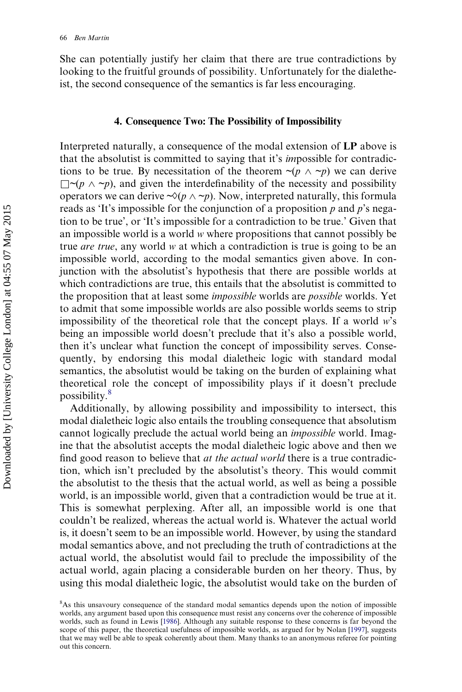She can potentially justify her claim that there are true contradictions by looking to the fruitful grounds of possibility. Unfortunately for the dialetheist, the second consequence of the semantics is far less encouraging.

## 4. Consequence Two: The Possibility of Impossibility

Interpreted naturally, a consequence of the modal extension of LP above is that the absolutist is committed to saying that it's impossible for contradictions to be true. By necessitation of the theorem  $\sim (p \land \sim p)$  we can derive  $\Box \sim (p \land \sim p)$ , and given the interdefinability of the necessity and possibility operators we can derive  $\sim (p \land \sim p)$ . Now, interpreted naturally, this formula reads as 'It's impossible for the conjunction of a proposition  $p$  and  $p$ 's negation to be true', or 'It's impossible for a contradiction to be true.' Given that an impossible world is a world w where propositions that cannot possibly be true *are true*, any world w at which a contradiction is true is going to be an impossible world, according to the modal semantics given above. In conjunction with the absolutist's hypothesis that there are possible worlds at which contradictions are true, this entails that the absolutist is committed to the proposition that at least some *impossible* worlds are *possible* worlds. Yet to admit that some impossible worlds are also possible worlds seems to strip impossibility of the theoretical role that the concept plays. If a world  $w$ 's being an impossible world doesn't preclude that it's also a possible world, then it's unclear what function the concept of impossibility serves. Consequently, by endorsing this modal dialetheic logic with standard modal semantics, the absolutist would be taking on the burden of explaining what theoretical role the concept of impossibility plays if it doesn't preclude possibility.[8](#page-7-0)

Additionally, by allowing possibility and impossibility to intersect, this modal dialetheic logic also entails the troubling consequence that absolutism cannot logically preclude the actual world being an impossible world. Imagine that the absolutist accepts the modal dialetheic logic above and then we find good reason to believe that *at the actual world* there is a true contradiction, which isn't precluded by the absolutist's theory. This would commit the absolutist to the thesis that the actual world, as well as being a possible world, is an impossible world, given that a contradiction would be true at it. This is somewhat perplexing. After all, an impossible world is one that couldn't be realized, whereas the actual world is. Whatever the actual world is, it doesn't seem to be an impossible world. However, by using the standard modal semantics above, and not precluding the truth of contradictions at the actual world, the absolutist would fail to preclude the impossibility of the actual world, again placing a considerable burden on her theory. Thus, by using this modal dialetheic logic, the absolutist would take on the burden of

<span id="page-7-0"></span><sup>&</sup>lt;sup>8</sup>As this unsavoury consequence of the standard modal semantics depends upon the notion of impossible worlds, any argument based upon this consequence must resist any concerns over the coherence of impossible worlds, such as found in Lewis [[1986\]](#page-16-15). Although any suitable response to these concerns is far beyond the scope of this paper, the theoretical usefulness of impossible worlds, as argued for by Nolan [[1997\]](#page-16-16), suggests that we may well be able to speak coherently about them. Many thanks to an anonymous referee for pointing out this concern.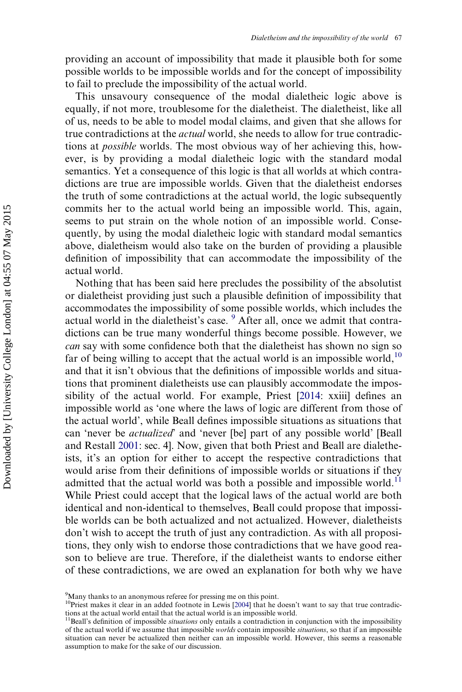providing an account of impossibility that made it plausible both for some possible worlds to be impossible worlds and for the concept of impossibility to fail to preclude the impossibility of the actual world.

This unsavoury consequence of the modal dialetheic logic above is equally, if not more, troublesome for the dialetheist. The dialetheist, like all of us, needs to be able to model modal claims, and given that she allows for true contradictions at the actual world, she needs to allow for true contradictions at possible worlds. The most obvious way of her achieving this, however, is by providing a modal dialetheic logic with the standard modal semantics. Yet a consequence of this logic is that all worlds at which contradictions are true are impossible worlds. Given that the dialetheist endorses the truth of some contradictions at the actual world, the logic subsequently commits her to the actual world being an impossible world. This, again, seems to put strain on the whole notion of an impossible world. Consequently, by using the modal dialetheic logic with standard modal semantics above, dialetheism would also take on the burden of providing a plausible definition of impossibility that can accommodate the impossibility of the actual world.

Nothing that has been said here precludes the possibility of the absolutist or dialetheist providing just such a plausible definition of impossibility that accommodates the impossibility of some possible worlds, which includes the actual world in the dialetheist's case. <sup>[9](#page-8-0)</sup> After all, once we admit that contradictions can be true many wonderful things become possible. However, we can say with some confidence both that the dialetheist has shown no sign so far of being willing to accept that the actual world is an impossible world,  $10$ and that it isn't obvious that the definitions of impossible worlds and situations that prominent dialetheists use can plausibly accommodate the impossibility of the actual world. For example, Priest [[2014:](#page-16-0) xxiii] defines an impossible world as 'one where the laws of logic are different from those of the actual world', while Beall defines impossible situations as situations that can 'never be actualized' and 'never [be] part of any possible world' [Beall and Restall [2001](#page-16-17): sec. 4]. Now, given that both Priest and Beall are dialetheists, it's an option for either to accept the respective contradictions that would arise from their definitions of impossible worlds or situations if they admitted that the actual world was both a possible and impossible world.<sup>[11](#page-8-2)</sup> While Priest could accept that the logical laws of the actual world are both identical and non-identical to themselves, Beall could propose that impossible worlds can be both actualized and not actualized. However, dialetheists don't wish to accept the truth of just any contradiction. As with all propositions, they only wish to endorse those contradictions that we have good reason to believe are true. Therefore, if the dialetheist wants to endorse either of these contradictions, we are owed an explanation for both why we have

<span id="page-8-1"></span>

<span id="page-8-0"></span><sup>9</sup> Many thanks to an anonymous referee for pressing me on this point. 10Priest makes it clear in an added footnote in Lewis [[2004\]](#page-16-18) that he doesn't want to say that true contradictions at the actual world entail that the actual world is an impossible world.

<span id="page-8-2"></span><sup>&</sup>lt;sup>11</sup>Beall's definition of impossible *situations* only entails a contradiction in conjunction with the impossibility of the actual world if we assume that impossible *worlds* contain impossible *situations*, so that if an impossible situation can never be actualized then neither can an impossible world. However, this seems a reasonable assumption to make for the sake of our discussion.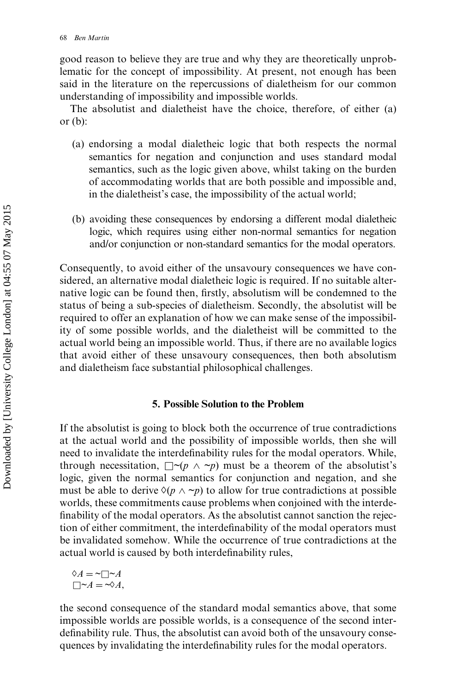good reason to believe they are true and why they are theoretically unproblematic for the concept of impossibility. At present, not enough has been said in the literature on the repercussions of dialetheism for our common understanding of impossibility and impossible worlds.

The absolutist and dialetheist have the choice, therefore, of either (a) or (b):

- (a) endorsing a modal dialetheic logic that both respects the normal semantics for negation and conjunction and uses standard modal semantics, such as the logic given above, whilst taking on the burden of accommodating worlds that are both possible and impossible and, in the dialetheist's case, the impossibility of the actual world;
- (b) avoiding these consequences by endorsing a different modal dialetheic logic, which requires using either non-normal semantics for negation and/or conjunction or non-standard semantics for the modal operators.

Consequently, to avoid either of the unsavoury consequences we have considered, an alternative modal dialetheic logic is required. If no suitable alternative logic can be found then, firstly, absolutism will be condemned to the status of being a sub-species of dialetheism. Secondly, the absolutist will be required to offer an explanation of how we can make sense of the impossibility of some possible worlds, and the dialetheist will be committed to the actual world being an impossible world. Thus, if there are no available logics that avoid either of these unsavoury consequences, then both absolutism and dialetheism face substantial philosophical challenges.

# 5. Possible Solution to the Problem

If the absolutist is going to block both the occurrence of true contradictions at the actual world and the possibility of impossible worlds, then she will need to invalidate the interdefinability rules for the modal operators. While, through necessitation,  $\Box \sim (p \land \sim p)$  must be a theorem of the absolutist's logic, given the normal semantics for conjunction and negation, and she must be able to derive  $\Diamond(p \land \neg p)$  to allow for true contradictions at possible worlds, these commitments cause problems when conjoined with the interdefinability of the modal operators. As the absolutist cannot sanction the rejection of either commitment, the interdefinability of the modal operators must be invalidated somehow. While the occurrence of true contradictions at the actual world is caused by both interdefinability rules,

 $\Diamond A = \neg \Box \neg A$  $\Box \sim A = \sim \Diamond A$ ,

the second consequence of the standard modal semantics above, that some impossible worlds are possible worlds, is a consequence of the second interdefinability rule. Thus, the absolutist can avoid both of the unsavoury consequences by invalidating the interdefinability rules for the modal operators.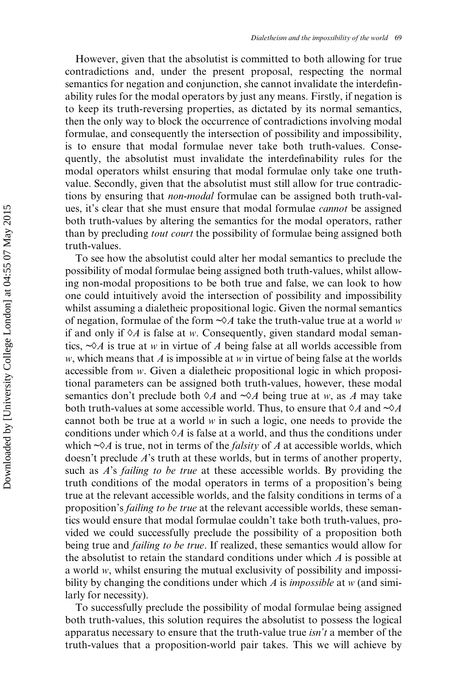However, given that the absolutist is committed to both allowing for true contradictions and, under the present proposal, respecting the normal semantics for negation and conjunction, she cannot invalidate the interdefinability rules for the modal operators by just any means. Firstly, if negation is to keep its truth-reversing properties, as dictated by its normal semantics, then the only way to block the occurrence of contradictions involving modal formulae, and consequently the intersection of possibility and impossibility, is to ensure that modal formulae never take both truth-values. Consequently, the absolutist must invalidate the interdefinability rules for the modal operators whilst ensuring that modal formulae only take one truthvalue. Secondly, given that the absolutist must still allow for true contradictions by ensuring that non-modal formulae can be assigned both truth-values, it's clear that she must ensure that modal formulae cannot be assigned both truth-values by altering the semantics for the modal operators, rather than by precluding tout court the possibility of formulae being assigned both truth-values.

To see how the absolutist could alter her modal semantics to preclude the possibility of modal formulae being assigned both truth-values, whilst allowing non-modal propositions to be both true and false, we can look to how one could intuitively avoid the intersection of possibility and impossibility whilst assuming a dialetheic propositional logic. Given the normal semantics of negation, formulae of the form  $\sim \lambda A$  take the truth-value true at a world w if and only if  $\Diamond A$  is false at w. Consequently, given standard modal semantics,  $\neg 4$  is true at w in virtue of A being false at all worlds accessible from w, which means that  $A$  is impossible at w in virtue of being false at the worlds accessible from w. Given a dialetheic propositional logic in which propositional parameters can be assigned both truth-values, however, these modal semantics don't preclude both  $\Diamond A$  and  $\neg \Diamond A$  being true at w, as A may take both truth-values at some accessible world. Thus, to ensure that  $\Diamond A$  and  $\neg \Diamond A$ cannot both be true at a world w in such a logic, one needs to provide the conditions under which  $\Diamond A$  is false at a world, and thus the conditions under which  $\sim 4$  is true, not in terms of the *falsity* of A at accessible worlds, which doesn't preclude A's truth at these worlds, but in terms of another property, such as A's *failing to be true* at these accessible worlds. By providing the truth conditions of the modal operators in terms of a proposition's being true at the relevant accessible worlds, and the falsity conditions in terms of a proposition's failing to be true at the relevant accessible worlds, these semantics would ensure that modal formulae couldn't take both truth-values, provided we could successfully preclude the possibility of a proposition both being true and *failing to be true*. If realized, these semantics would allow for the absolutist to retain the standard conditions under which  $\vec{A}$  is possible at a world w, whilst ensuring the mutual exclusivity of possibility and impossibility by changing the conditions under which  $\vec{A}$  is *impossible* at  $w$  (and similarly for necessity).

To successfully preclude the possibility of modal formulae being assigned both truth-values, this solution requires the absolutist to possess the logical apparatus necessary to ensure that the truth-value true isn't a member of the truth-values that a proposition-world pair takes. This we will achieve by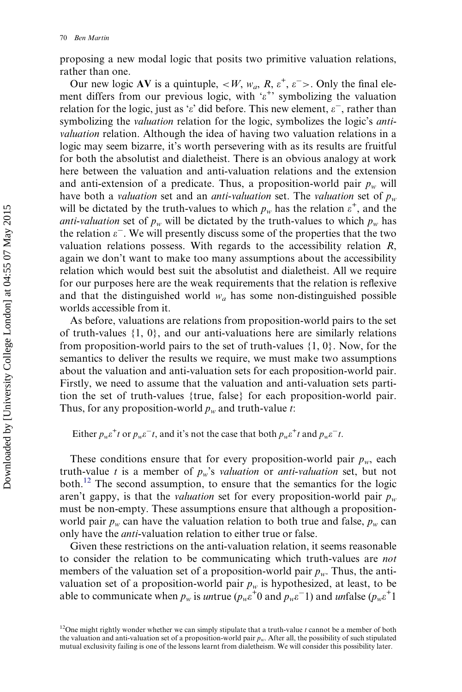proposing a new modal logic that posits two primitive valuation relations, rather than one.

Our new logic AV is a quintuple,  $\langle W, w_a, R, \varepsilon^+, \varepsilon^- \rangle$ . Only the final element differs from our previous logic, with ' $\varepsilon^+$ ' symbolizing the valuation relation for the logic, just as ' $\varepsilon$ ' did before. This new element,  $\varepsilon^-$ , rather than symbolizing the *valuation* relation for the logic, symbolizes the logic's *anti*valuation relation. Although the idea of having two valuation relations in a logic may seem bizarre, it's worth persevering with as its results are fruitful for both the absolutist and dialetheist. There is an obvious analogy at work here between the valuation and anti-valuation relations and the extension and anti-extension of a predicate. Thus, a proposition-world pair  $p_w$  will have both a *valuation* set and an *anti-valuation* set. The *valuation* set of  $p_w$ will be dictated by the truth-values to which  $p_w$  has the relation  $\varepsilon^+$ , and the *anti-valuation* set of  $p_w$  will be dictated by the truth-values to which  $p_w$  has the relation  $\varepsilon^-$ . We will presently discuss some of the properties that the two valuation relations possess. With regards to the accessibility relation  $R$ , again we don't want to make too many assumptions about the accessibility relation which would best suit the absolutist and dialetheist. All we require for our purposes here are the weak requirements that the relation is reflexive and that the distinguished world  $w_a$  has some non-distinguished possible worlds accessible from it.

As before, valuations are relations from proposition-world pairs to the set of truth-values {1, 0}, and our anti-valuations here are similarly relations from proposition-world pairs to the set of truth-values  $\{1, 0\}$ . Now, for the semantics to deliver the results we require, we must make two assumptions about the valuation and anti-valuation sets for each proposition-world pair. Firstly, we need to assume that the valuation and anti-valuation sets partition the set of truth-values {true, false} for each proposition-world pair. Thus, for any proposition-world  $p_w$  and truth-value t:

Either  $p_w \varepsilon^+ t$  or  $p_w \varepsilon^- t$ , and it's not the case that both  $p_w \varepsilon^+ t$  and  $p_w \varepsilon^- t$ .

These conditions ensure that for every proposition-world pair  $p_w$ , each truth-value t is a member of  $p_w$ 's valuation or anti-valuation set, but not both.<sup>[12](#page-11-0)</sup> The second assumption, to ensure that the semantics for the logic aren't gappy, is that the valuation set for every proposition-world pair  $p_w$ must be non-empty. These assumptions ensure that although a propositionworld pair  $p_w$  can have the valuation relation to both true and false,  $p_w$  can only have the anti-valuation relation to either true or false.

Given these restrictions on the anti-valuation relation, it seems reasonable to consider the relation to be communicating which truth-values are not members of the valuation set of a proposition-world pair  $p_w$ . Thus, the antivaluation set of a proposition-world pair  $p_w$  is hypothesized, at least, to be able to communicate when  $p_w$  is *un*true  $(p_w \varepsilon^+ 0$  and  $p_w \varepsilon^- 1)$  and *unfalse*  $(p_w \varepsilon^+ 1)$ 

<span id="page-11-0"></span><sup>&</sup>lt;sup>12</sup>One might rightly wonder whether we can simply stipulate that a truth-value t cannot be a member of both the valuation and anti-valuation set of a proposition-world pair  $p_w$ . After all, the possibility of such stipulated mutual exclusivity failing is one of the lessons learnt from dialetheism. We will consider this possibility later.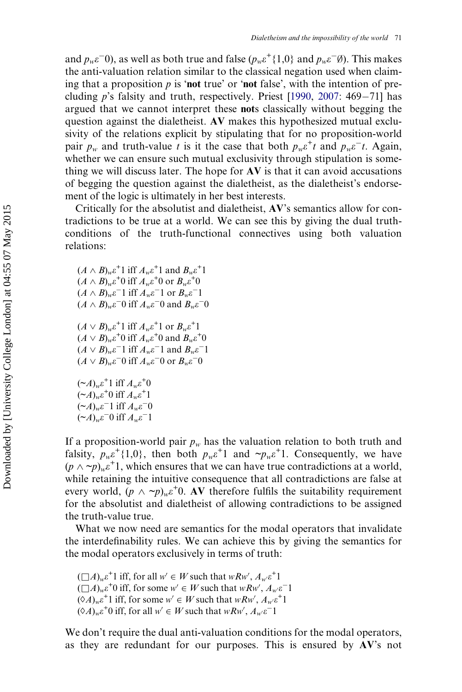and  $p_w \varepsilon^{-0}$ ), as well as both true and false  $(p_w \varepsilon^+ \{1,0\}$  and  $p_w \varepsilon^{-1}$ ). This makes the anti-valuation relation similar to the classical negation used when claiming that a proposition  $p$  is 'not true' or 'not false', with the intention of precluding  $p$ 's falsity and truth, respectively. Priest [\[1990](#page-16-19), [2007:](#page-16-20) 469-71] has argued that we cannot interpret these nots classically without begging the question against the dialetheist. AV makes this hypothesized mutual exclusivity of the relations explicit by stipulating that for no proposition-world pair  $p_w$  and truth-value t is it the case that both  $p_w \varepsilon^+ t$  and  $p_w \varepsilon^- t$ . Again, whether we can ensure such mutual exclusivity through stipulation is something we will discuss later. The hope for  $AV$  is that it can avoid accusations of begging the question against the dialetheist, as the dialetheist's endorsement of the logic is ultimately in her best interests.

Critically for the absolutist and dialetheist, AV's semantics allow for contradictions to be true at a world. We can see this by giving the dual truthconditions of the truth-functional connectives using both valuation relations:

 $(A \wedge B)_{w} \varepsilon^{+}1$  iff  $A_{w} \varepsilon^{+}1$  and  $B_{w} \varepsilon^{+}1$  $(A \wedge B)_{w} \varepsilon^{+} 0$  iff  $A_{w} \varepsilon^{+} 0$  or  $B_{w} \varepsilon^{+} 0$  $(A \wedge B)_{w} \varepsilon^{-1}$  iff  $A_{w} \varepsilon^{-1}$  or  $B_{w} \varepsilon^{-1}$  $(A \wedge B)_{w} \varepsilon^{-}0$  iff  $A_{w} \varepsilon^{-}0$  and  $B_{w} \varepsilon^{-}0$  $(A \vee B)_{w} \varepsilon^{+} 1$  iff  $A_{w} \varepsilon^{+} 1$  or  $B_{w} \varepsilon^{+} 1$  $(A \vee B)_{w} \varepsilon^{+} 0$  iff  $A_{w} \varepsilon^{+} 0$  and  $B_{w} \varepsilon^{+} 0$  $(A \vee B)_{w} \varepsilon^{-1}$  iff  $A_{w} \varepsilon^{-1}$  and  $B_{w} \varepsilon^{-1}$  $(A \vee B)_{w} \varepsilon^{-} 0$  iff  $A_{w} \varepsilon^{-} 0$  or  $B_{w} \varepsilon^{-} 0$  $(\sim A)_{w} \varepsilon^{+} 1$  iff  $A_{w} \varepsilon^{+} 0$  $(\sim A)_{w} \varepsilon^{+} 0$  iff  $A_{w} \varepsilon^{+} 1$  $(\sim A)_{w} \varepsilon^{-1}$  iff  $A_{w} \varepsilon^{-0}$  $(\sim A)_{w} \varepsilon^{-} 0$  iff  $A_{w} \varepsilon^{-} 1$ 

If a proposition-world pair  $p_w$  has the valuation relation to both truth and falsity,  $p_w \varepsilon^+ \{1,0\}$ , then both  $p_w \varepsilon^+ 1$  and  $\sim p_w \varepsilon^+ 1$ . Consequently, we have  $(p \wedge \neg p)_{w} \varepsilon^{\dagger} 1$ , which ensures that we can have true contradictions at a world, while retaining the intuitive consequence that all contradictions are false at every world,  $(p \wedge \neg p)_{w} \varepsilon^{+}0$ . AV therefore fulfils the suitability requirement for the absolutist and dialetheist of allowing contradictions to be assigned the truth-value true.

What we now need are semantics for the modal operators that invalidate the interdefinability rules. We can achieve this by giving the semantics for the modal operators exclusively in terms of truth:

 $(\Box A)_{w} \varepsilon^{+}1$  iff, for all  $w' \in W$  such that  $wRw', A_{w'}\varepsilon^{+}1$  $((\Box A)_w \varepsilon^+ 0$  iff, for some  $w' \in W$  such that  $wRw'$ ,  $A_{w'}\varepsilon^{-1}$  $(\Diamond A)_{w} \varepsilon^{+}1$  iff, for some  $w' \in W$  such that  $wRw'$ ,  $A_{w'}\varepsilon^{+}1$  $(\Diamond A)_{w} \varepsilon^{+} 0$  iff, for all  $w' \in W$  such that  $wRw'$ ,  $A_{w'} \varepsilon^{-} 1$ 

We don't require the dual anti-valuation conditions for the modal operators, as they are redundant for our purposes. This is ensured by AV's not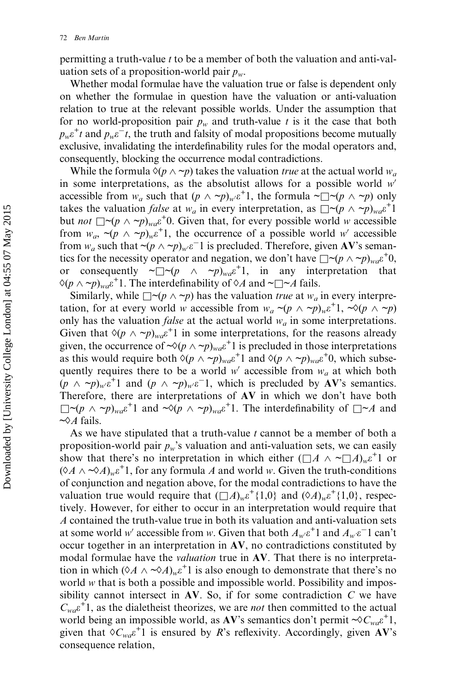permitting a truth-value  $t$  to be a member of both the valuation and anti-valuation sets of a proposition-world pair  $p_w$ .

Whether modal formulae have the valuation true or false is dependent only on whether the formulae in question have the valuation or anti-valuation relation to true at the relevant possible worlds. Under the assumption that for no world-proposition pair  $p_w$  and truth-value t is it the case that both  $p_w \varepsilon^+ t$  and  $p_w \varepsilon^- t$ , the truth and falsity of modal propositions become mutually exclusive, invalidating the interdefinability rules for the modal operators and, consequently, blocking the occurrence modal contradictions.

While the formula  $\Diamond (p \land \neg p)$  takes the valuation *true* at the actual world w<sub>a</sub> in some interpretations, as the absolutist allows for a possible world  $w'$ accessible from  $w_a$  such that  $(p \wedge \neg p)_{w'} \varepsilon^+ 1$ , the formula  $\neg \Box \neg (p \wedge \neg p)$  only takes the valuation *false* at  $w_a$  in every interpretation, as  $\Box \sim (p \land \sim p)_{wa} \varepsilon^+ 1$ but *not*  $\Box \sim (p \land \sim p)_{wa} \varepsilon^+ 0$ . Given that, for every possible world w accessible from  $w_a$ ,  $\sim (p \land \sim p)_w \varepsilon^+ 1$ , the occurrence of a possible world w' accessible from  $w_a$  such that  $\sim (p \wedge \sim p)_{w'} \varepsilon^{-1}$  is precluded. Therefore, given AV's semantics for the necessity operator and negation, we don't have  $\Box \sim (p \land \sim p)_{wa} \varepsilon^+ 0$ , or consequently  $\sim \Box \sim (p \land \sim p)_{wa}e^{\dagger}1$ , in any interpretation that  $\Diamond (p \land \neg p)_{wa} \varepsilon^+ 1$ . The interdefinability of  $\Diamond A$  and  $\neg \Box \neg A$  fails.

Similarly, while  $\Box \sim (p \land \sim p)$  has the valuation *true* at w<sub>a</sub> in every interpretation, for at every world w accessible from  $w_a \sim (p \land \sim p)_w \varepsilon^+ 1$ ,  $\sim \sim (p \land \sim p)$ only has the valuation *false* at the actual world  $w_a$  in some interpretations. Given that  $\Diamond (p \land \neg p)_{wq} \varepsilon^{+}1$  in some interpretations, for the reasons already given, the occurrence of  $\sim (p \wedge \neg p)_{wa} \varepsilon^+ 1$  is precluded in those interpretations as this would require both  $\Diamond (p \land \neg p)_{wa}e^{\dagger}1$  and  $\Diamond (p \land \neg p)_{wa}e^{\dagger}0$ , which subsequently requires there to be a world w' accessible from  $w_a$  at which both  $(p \wedge \neg p)_{w}e^{\perp}1$  and  $(p \wedge \neg p)_{w}e^{\perp}1$ , which is precluded by AV's semantics. Therefore, there are interpretations of AV in which we don't have both  $\Box \sim (p \land \sim p)_{wa} \varepsilon^{\dagger}$  and  $\sim \sim (p \land \sim p)_{wa} \varepsilon^{\dagger}$  1. The interdefinability of  $\Box \sim A$  and  $\sim$  A fails.

As we have stipulated that a truth-value  $t$  cannot be a member of both a proposition-world pair  $p_w$ 's valuation and anti-valuation sets, we can easily show that there's no interpretation in which either  $(\Box A \land \sim \Box A)_{w} \varepsilon^{+}1$  or  $(\Diamond A \land \neg \Diamond A)_{w} \varepsilon^{+}1$ , for any formula A and world w. Given the truth-conditions of conjunction and negation above, for the modal contradictions to have the valuation true would require that  $(\Box A)_{w} \varepsilon^{+} \{1,0\}$  and  $(\Diamond A)_{w} \varepsilon^{+} \{1,0\}$ , respectively. However, for either to occur in an interpretation would require that A contained the truth-value true in both its valuation and anti-valuation sets at some world w' accessible from w. Given that both  $A_w e^{\pm 1}$  and  $A_w e^{-1}$  can't occur together in an interpretation in AV, no contradictions constituted by modal formulae have the *valuation* true in AV. That there is no interpretation in which  $(\Diamond A \land \neg \Diamond A)_{w} \varepsilon^{\dagger}1$  is also enough to demonstrate that there's no world w that is both a possible and impossible world. Possibility and impossibility cannot intersect in AV. So, if for some contradiction  $C$  we have  $C_{wa} \epsilon^{+1}$ , as the dialetheist theorizes, we are *not* then committed to the actual world being an impossible world, as AV's semantics don't permit  $\sim O_{w a} \varepsilon^+ 1$ , given that  $\sqrt[\infty]{C_{w a} \epsilon^{-1}}$  is ensured by R's reflexivity. Accordingly, given AV's consequence relation,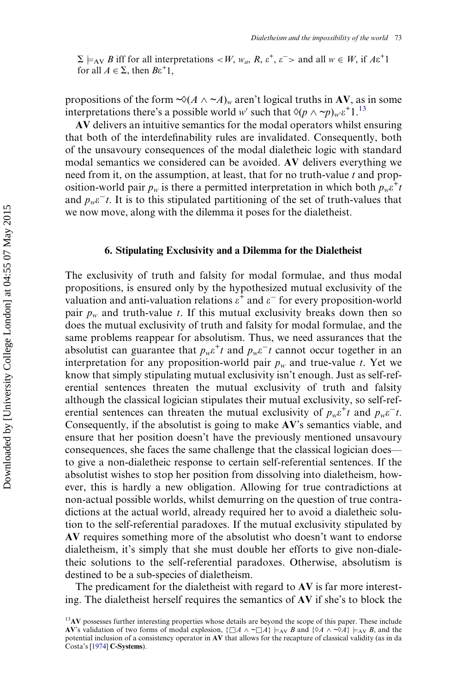$\sum \models_{AV} B$  iff for all interpretations  $\lt W$ ,  $w_a$ ,  $R$ ,  $\varepsilon^+$ ,  $\varepsilon^-$  and all  $w \in W$ , if  $A\varepsilon^+$ 1 for all  $A \in \Sigma$ , then  $B\epsilon^+1$ ,

propositions of the form  $\sim (A \wedge \sim A)_{w}$  aren't logical truths in AV, as in some interpretations there's a possible world w' such that  $\mathcal{O}(p \wedge \neg p)_{w' \varepsilon}$ <sup>+1.[13](#page-14-0)</sup>

AV delivers an intuitive semantics for the modal operators whilst ensuring that both of the interdefinability rules are invalidated. Consequently, both of the unsavoury consequences of the modal dialetheic logic with standard modal semantics we considered can be avoided. AV delivers everything we need from it, on the assumption, at least, that for no truth-value  $t$  and proposition-world pair  $p_w$  is there a permitted interpretation in which both  $p_w \varepsilon^{\dagger} t$ and  $p_w \varepsilon^- t$ . It is to this stipulated partitioning of the set of truth-values that we now move, along with the dilemma it poses for the dialetheist.

### 6. Stipulating Exclusivity and a Dilemma for the Dialetheist

The exclusivity of truth and falsity for modal formulae, and thus modal propositions, is ensured only by the hypothesized mutual exclusivity of the valuation and anti-valuation relations  $\varepsilon^+$  and  $\varepsilon^-$  for every proposition-world pair  $p_w$  and truth-value t. If this mutual exclusivity breaks down then so does the mutual exclusivity of truth and falsity for modal formulae, and the same problems reappear for absolutism. Thus, we need assurances that the absolutist can guarantee that  $p_w \varepsilon^+ t$  and  $p_w \varepsilon^- t$  cannot occur together in an interpretation for any proposition-world pair  $p_w$  and true-value t. Yet we know that simply stipulating mutual exclusivity isn't enough. Just as self-referential sentences threaten the mutual exclusivity of truth and falsity although the classical logician stipulates their mutual exclusivity, so self-referential sentences can threaten the mutual exclusivity of  $p_w \varepsilon^+ t$  and  $p_w \varepsilon^- t$ . Consequently, if the absolutist is going to make AV's semantics viable, and ensure that her position doesn't have the previously mentioned unsavoury consequences, she faces the same challenge that the classical logician does to give a non-dialetheic response to certain self-referential sentences. If the absolutist wishes to stop her position from dissolving into dialetheism, however, this is hardly a new obligation. Allowing for true contradictions at non-actual possible worlds, whilst demurring on the question of true contradictions at the actual world, already required her to avoid a dialetheic solution to the self-referential paradoxes. If the mutual exclusivity stipulated by AV requires something more of the absolutist who doesn't want to endorse dialetheism, it's simply that she must double her efforts to give non-dialetheic solutions to the self-referential paradoxes. Otherwise, absolutism is destined to be a sub-species of dialetheism.

The predicament for the dialetheist with regard to AV is far more interesting. The dialetheist herself requires the semantics of AV if she's to block the

<span id="page-14-0"></span> $13$ AV possesses further interesting properties whose details are beyond the scope of this paper. These include AV's validation of two forms of modal explosion,  $\{\Box A \land \neg \Box A\} \models_{AV} B$  and  $\{\Diamond A \land \neg \Diamond A\} \models_{AV} B$ , and the potential inclusion of a consistency operator in AV that allows for the recapture of classical validity (as in da Costa's [[1974\]](#page-16-12) C-Systems).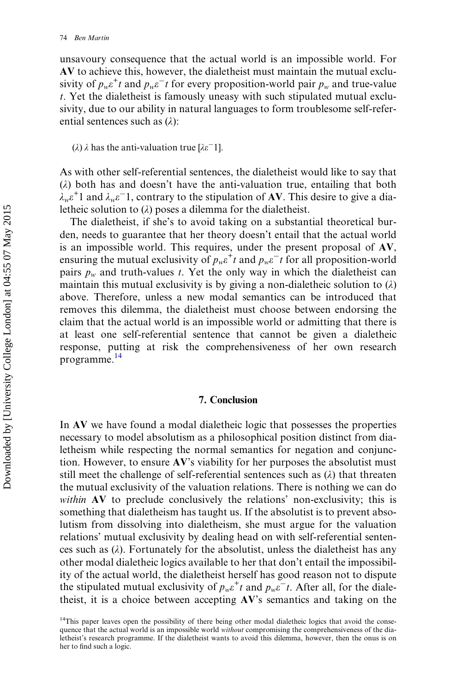unsavoury consequence that the actual world is an impossible world. For AV to achieve this, however, the dialetheist must maintain the mutual exclusivity of  $p_w \varepsilon^+ t$  and  $p_w \varepsilon^- t$  for every proposition-world pair  $p_w$  and true-value t. Yet the dialetheist is famously uneasy with such stipulated mutual exclusivity, due to our ability in natural languages to form troublesome self-referential sentences such as  $(\lambda)$ :

(λ)  $\lambda$  has the anti-valuation true [ $\lambda \varepsilon^{-1}$ ].

As with other self-referential sentences, the dialetheist would like to say that (λ) both has and doesn't have the anti-valuation true, entailing that both  $\lambda_w \varepsilon^{\dagger}$  and  $\lambda_w \varepsilon^{-1}$ , contrary to the stipulation of AV. This desire to give a dialetheic solution to  $(\lambda)$  poses a dilemma for the dialetheist.

The dialetheist, if she's to avoid taking on a substantial theoretical burden, needs to guarantee that her theory doesn't entail that the actual world is an impossible world. This requires, under the present proposal of AV, ensuring the mutual exclusivity of  $p_w \varepsilon^+ t$  and  $p_w \varepsilon^- t$  for all proposition-world pairs  $p_w$  and truth-values t. Yet the only way in which the dialetheist can maintain this mutual exclusivity is by giving a non-dialetheic solution to  $(\lambda)$ above. Therefore, unless a new modal semantics can be introduced that removes this dilemma, the dialetheist must choose between endorsing the claim that the actual world is an impossible world or admitting that there is at least one self-referential sentence that cannot be given a dialetheic response, putting at risk the comprehensiveness of her own research programme.[14](#page-15-0)

## 7. Conclusion

In AV we have found a modal dialetheic logic that possesses the properties necessary to model absolutism as a philosophical position distinct from dialetheism while respecting the normal semantics for negation and conjunction. However, to ensure AV's viability for her purposes the absolutist must still meet the challenge of self-referential sentences such as  $(\lambda)$  that threaten the mutual exclusivity of the valuation relations. There is nothing we can do within  $AV$  to preclude conclusively the relations' non-exclusivity; this is something that dialetheism has taught us. If the absolutist is to prevent absolutism from dissolving into dialetheism, she must argue for the valuation relations' mutual exclusivity by dealing head on with self-referential sentences such as  $(\lambda)$ . Fortunately for the absolutist, unless the dialetheist has any other modal dialetheic logics available to her that don't entail the impossibility of the actual world, the dialetheist herself has good reason not to dispute the stipulated mutual exclusivity of  $p_w \varepsilon^+ t$  and  $p_w \varepsilon^- t$ . After all, for the dialetheist, it is a choice between accepting AV's semantics and taking on the

<span id="page-15-0"></span><sup>&</sup>lt;sup>14</sup>This paper leaves open the possibility of there being other modal dialetheic logics that avoid the consequence that the actual world is an impossible world *without* compromising the comprehensiveness of the dialetheist's research programme. If the dialetheist wants to avoid this dilemma, however, then the onus is on her to find such a logic.